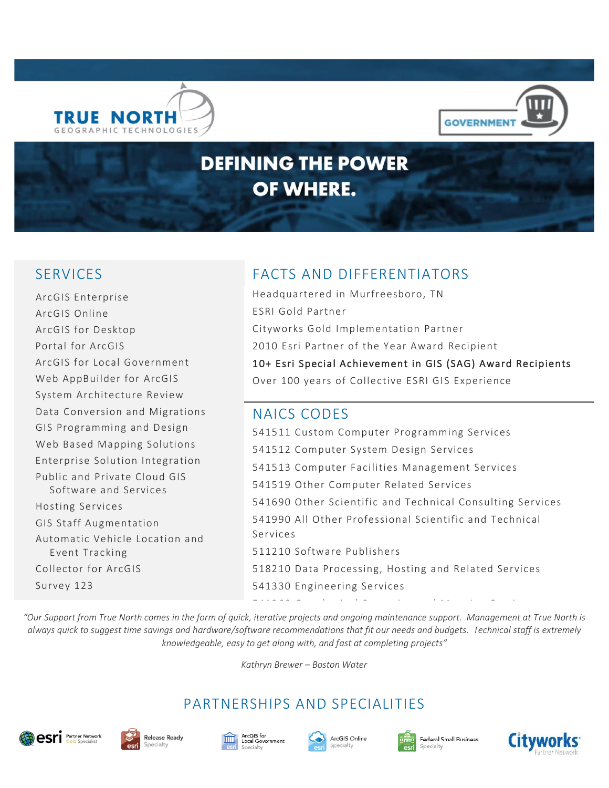



# **DEFINING THE POWER** OF WHERE.

ArcGIS Enterprise ArcGIS Online ArcGIS for Desktop Portal for ArcGIS ArcGIS for Local Government Web AppBuilder for ArcGIS System Architecture Review Data Conversion and Migrations GIS Programming and Design Web Based Mapping Solutions Enterprise Solution Integration Public and Private Cloud GIS Software and Services Hosting Services GIS Staff Augmentation Automatic Vehicle Location and Event Tracking Collector for ArcGIS Survey 123

# SERVICES FACTS AND DIFFERENTIATORS

Headquartered in Murfreesboro, TN ESRI Gold Partner Cityworks Gold Implementation Partner 2010 Esri Partner of the Year Award Recipient 10+ Esri Special Achievement in GIS (SAG) Award Recipients Over 100 years of Collective ESRI GIS Experience

#### NAICS CODES

541511 Custom Computer Programming Services 541512 Computer System Design Services 541513 Computer Facilities Management Services 541519 Other Computer Related Services 541690 Other Scientific and Technical Consulting Services 541990 All Other Professional Scientific and Technical Services 511210 Software Publishers 518210 Data Processing, Hosting and Related Services 541330 Engineering Services

541360 Geophysical Surveying and Mappin g Services

*"Our Support from True North comes in the form of quick, iterative projects and ongoing maintenance support. Management at True North is always quick to suggest time savings and hardware/software recommendations that fit our needs and budgets. Technical staff is extremely knowledgeable, easy to get along with, and fast at completing projects"*

*Kathryn Brewer – Boston Water*

# PARTNERSHIPS AND SPECIALITIES